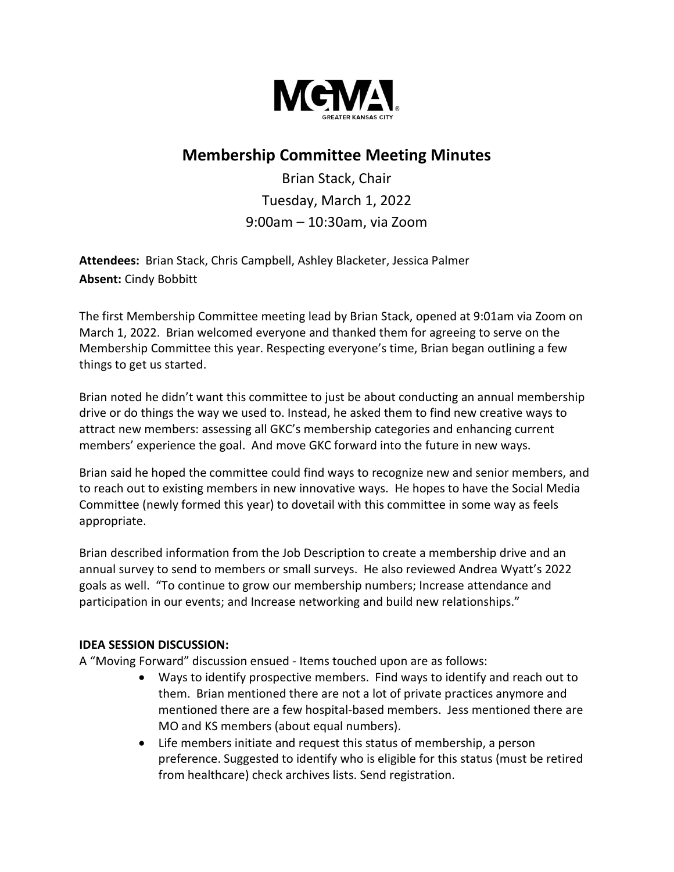

# **Membership Committee Meeting Minutes**

Brian Stack, Chair Tuesday, March 1, 2022 9:00am – 10:30am, via Zoom

**Attendees:** Brian Stack, Chris Campbell, Ashley Blacketer, Jessica Palmer **Absent:** Cindy Bobbitt

The first Membership Committee meeting lead by Brian Stack, opened at 9:01am via Zoom on March 1, 2022. Brian welcomed everyone and thanked them for agreeing to serve on the Membership Committee this year. Respecting everyone's time, Brian began outlining a few things to get us started.

Brian noted he didn't want this committee to just be about conducting an annual membership drive or do things the way we used to. Instead, he asked them to find new creative ways to attract new members: assessing all GKC's membership categories and enhancing current members' experience the goal. And move GKC forward into the future in new ways.

Brian said he hoped the committee could find ways to recognize new and senior members, and to reach out to existing members in new innovative ways. He hopes to have the Social Media Committee (newly formed this year) to dovetail with this committee in some way as feels appropriate.

Brian described information from the Job Description to create a membership drive and an annual survey to send to members or small surveys. He also reviewed Andrea Wyatt's 2022 goals as well. "To continue to grow our membership numbers; Increase attendance and participation in our events; and Increase networking and build new relationships."

### **IDEA SESSION DISCUSSION:**

A "Moving Forward" discussion ensued - Items touched upon are as follows:

- Ways to identify prospective members. Find ways to identify and reach out to them. Brian mentioned there are not a lot of private practices anymore and mentioned there are a few hospital-based members. Jess mentioned there are MO and KS members (about equal numbers).
- Life members initiate and request this status of membership, a person preference. Suggested to identify who is eligible for this status (must be retired from healthcare) check archives lists. Send registration.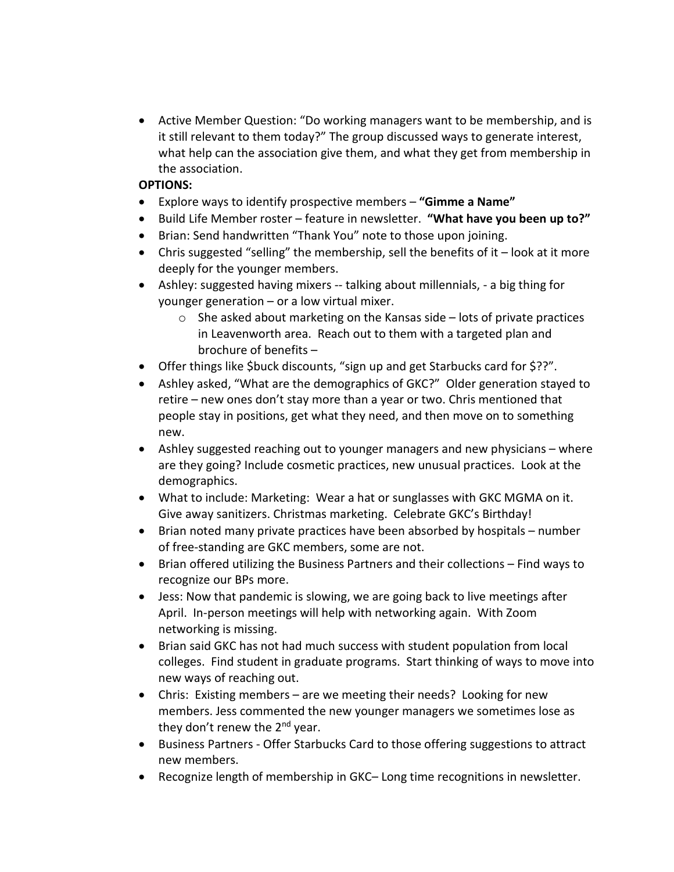• Active Member Question: "Do working managers want to be membership, and is it still relevant to them today?" The group discussed ways to generate interest, what help can the association give them, and what they get from membership in the association.

## **OPTIONS:**

- Explore ways to identify prospective members **"Gimme a Name"**
- Build Life Member roster feature in newsletter. **"What have you been up to?"**
- Brian: Send handwritten "Thank You" note to those upon joining.
- Chris suggested "selling" the membership, sell the benefits of it look at it more deeply for the younger members.
- Ashley: suggested having mixers -- talking about millennials, a big thing for younger generation – or a low virtual mixer.
	- o She asked about marketing on the Kansas side lots of private practices in Leavenworth area. Reach out to them with a targeted plan and brochure of benefits –
- Offer things like \$buck discounts, "sign up and get Starbucks card for \$??".
- Ashley asked, "What are the demographics of GKC?" Older generation stayed to retire – new ones don't stay more than a year or two. Chris mentioned that people stay in positions, get what they need, and then move on to something new.
- Ashley suggested reaching out to younger managers and new physicians where are they going? Include cosmetic practices, new unusual practices. Look at the demographics.
- What to include: Marketing: Wear a hat or sunglasses with GKC MGMA on it. Give away sanitizers. Christmas marketing. Celebrate GKC's Birthday!
- Brian noted many private practices have been absorbed by hospitals number of free-standing are GKC members, some are not.
- Brian offered utilizing the Business Partners and their collections Find ways to recognize our BPs more.
- Jess: Now that pandemic is slowing, we are going back to live meetings after April. In-person meetings will help with networking again. With Zoom networking is missing.
- Brian said GKC has not had much success with student population from local colleges. Find student in graduate programs. Start thinking of ways to move into new ways of reaching out.
- Chris: Existing members are we meeting their needs? Looking for new members. Jess commented the new younger managers we sometimes lose as they don't renew the  $2^{nd}$  year.
- Business Partners Offer Starbucks Card to those offering suggestions to attract new members.
- Recognize length of membership in GKC– Long time recognitions in newsletter.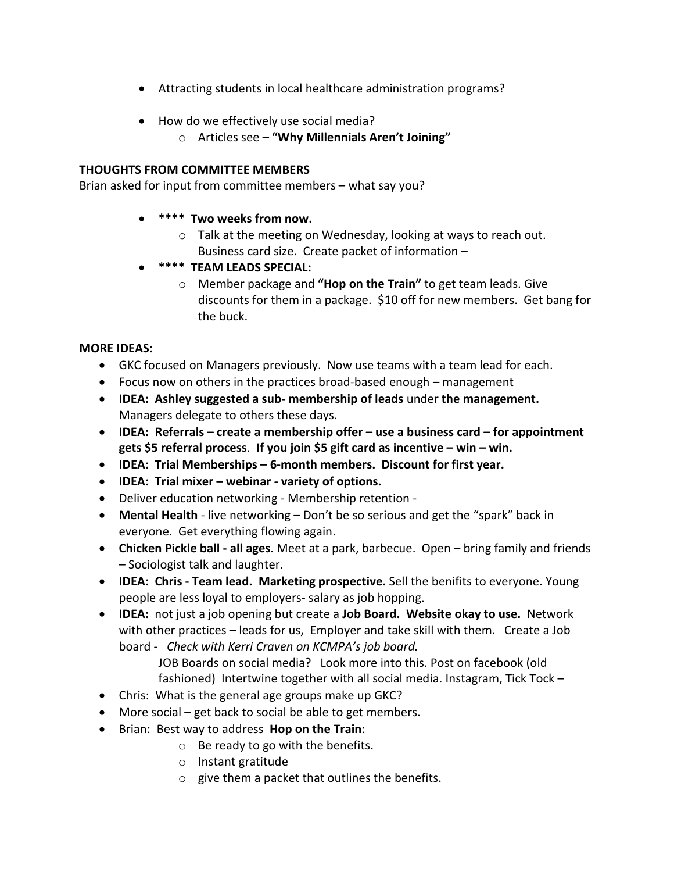- Attracting students in local healthcare administration programs?
- How do we effectively use social media?
	- o Articles see **"Why Millennials Aren't Joining"**

### **THOUGHTS FROM COMMITTEE MEMBERS**

Brian asked for input from committee members – what say you?

#### • **\*\*\*\* Two weeks from now.**

- o Talk at the meeting on Wednesday, looking at ways to reach out. Business card size. Create packet of information –
- **\*\*\*\* TEAM LEADS SPECIAL:**
	- o Member package and **"Hop on the Train"** to get team leads. Give discounts for them in a package. \$10 off for new members. Get bang for the buck.

### **MORE IDEAS:**

- GKC focused on Managers previously. Now use teams with a team lead for each.
- Focus now on others in the practices broad-based enough management
- **IDEA: Ashley suggested a sub- membership of leads** under **the management.** Managers delegate to others these days.
- **IDEA: Referrals – create a membership offer – use a business card – for appointment gets \$5 referral process**. **If you join \$5 gift card as incentive – win – win.**
- **IDEA: Trial Memberships – 6-month members. Discount for first year.**
- **IDEA: Trial mixer – webinar - variety of options.**
- Deliver education networking Membership retention -
- **Mental Health** live networking Don't be so serious and get the "spark" back in everyone. Get everything flowing again.
- **Chicken Pickle ball - all ages**. Meet at a park, barbecue. Open bring family and friends – Sociologist talk and laughter.
- **IDEA: Chris - Team lead. Marketing prospective.** Sell the benifits to everyone. Young people are less loyal to employers- salary as job hopping.
- **IDEA:** not just a job opening but create a **Job Board. Website okay to use.** Network with other practices – leads for us, Employer and take skill with them. Create a Job board - *Check with Kerri Craven on KCMPA's job board.*

JOB Boards on social media? Look more into this. Post on facebook (old fashioned) Intertwine together with all social media. Instagram, Tick Tock –

- Chris: What is the general age groups make up GKC?
- More social get back to social be able to get members.
- Brian: Best way to address **Hop on the Train**:
	- o Be ready to go with the benefits.
	- o Instant gratitude
	- o give them a packet that outlines the benefits.